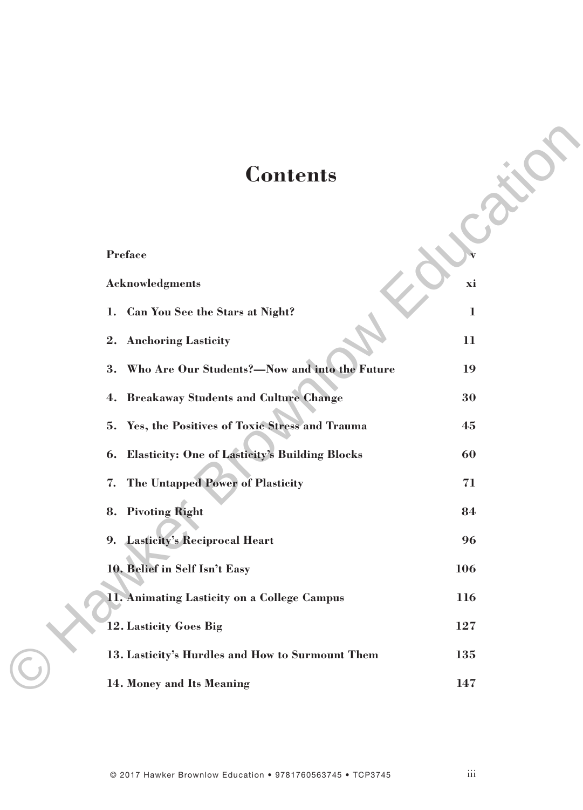## **Contents**

| <b>Contents</b>                                                                                                               |                |
|-------------------------------------------------------------------------------------------------------------------------------|----------------|
| Preface<br><b>Acknowledgments</b>                                                                                             | xi             |
| Can You See the Stars at Night?<br>1.<br>2.                                                                                   | $\bf{l}$<br>11 |
| <b>Anchoring Lasticity</b><br>Who Are Our Students?-Now and into the Future<br>3.<br>4. Breakaway Students and Culture Change | 19<br>30       |
| Yes, the Positives of Toxic Stress and Trauma<br>5.<br><b>Elasticity: One of Lasticity's Building Blocks</b><br>6.            | 45<br>60       |
| The Untapped Power of Plasticity<br>7.<br>8. Pivoting Right                                                                   | 71<br>84       |
| 9. Lasticity's Reciprocal Heart                                                                                               | 96<br>106      |
| 10. Belief in Self Isn't Easy<br>11. Animating Lasticity on a College Campus                                                  | 116            |
| 12. Lasticity Goes Big<br>13. Lasticity's Hurdles and How to Surmount Them                                                    | 127<br>135     |
| 14. Money and Its Meaning                                                                                                     | 147            |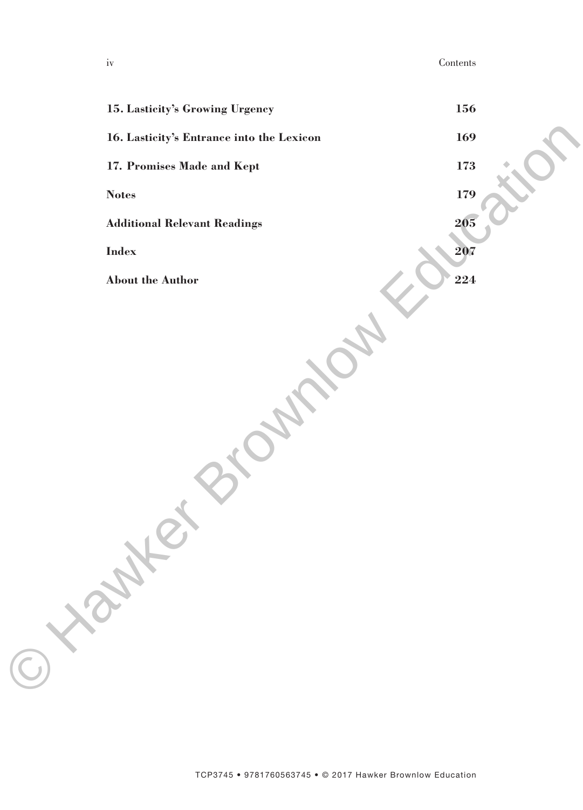iv Contents

| 15. Lasticity's Growing Urgency           | 156 |  |
|-------------------------------------------|-----|--|
| 16. Lasticity's Entrance into the Lexicon | 169 |  |
| 17. Promises Made and Kept                | 173 |  |
| $\boldsymbol{\mathrm{Notes}}$             | 179 |  |
| <b>Additional Relevant Readings</b>       | 205 |  |
| $\mathbf{Index}% =\mathbf{Mod}\mathbf{C}$ | 207 |  |
| About the Author                          | 224 |  |
|                                           |     |  |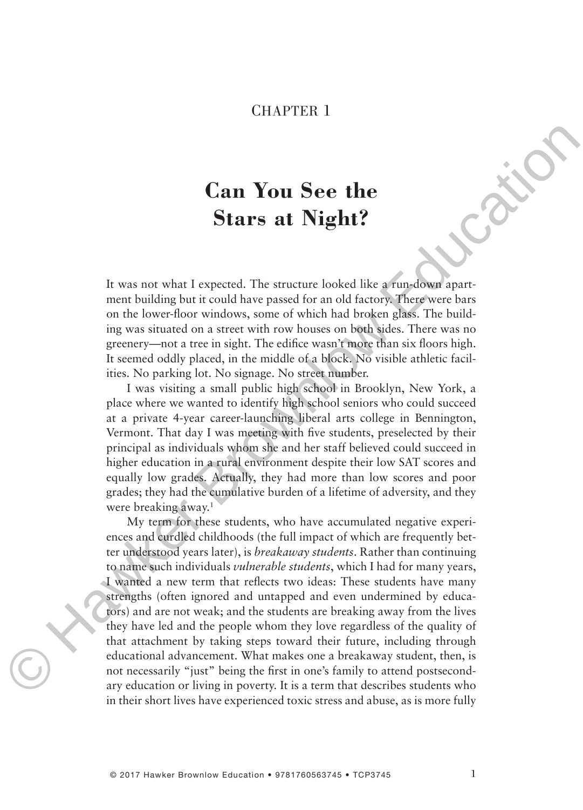## CHAPTER 1

## **Can You See the Stars at Night?**

It was not what I expected. The structure looked like a run-down apartment building but it could have passed for an old factory. There were bars on the lower-floor windows, some of which had broken glass. The building was situated on a street with row houses on both sides. There was no greenery—not a tree in sight. The edifice wasn't more than six floors high. It seemed oddly placed, in the middle of a block. No visible athletic facilities. No parking lot. No signage. No street number.

I was visiting a small public high school in Brooklyn, New York, a place where we wanted to identify high school seniors who could succeed at a private 4-year career-launching liberal arts college in Bennington, Vermont. That day I was meeting with five students, preselected by their principal as individuals whom she and her staff believed could succeed in higher education in a rural environment despite their low SAT scores and equally low grades. Actually, they had more than low scores and poor grades; they had the cumulative burden of a lifetime of adversity, and they were breaking away.<sup>1</sup>

My term for these students, who have accumulated negative experiences and curdled childhoods (the full impact of which are frequently better understood years later), is *breakaway students*. Rather than continuing to name such individuals *vulnerable students*, which I had for many years, I wanted a new term that reflects two ideas: These students have many strengths (often ignored and untapped and even undermined by educators) and are not weak; and the students are breaking away from the lives they have led and the people whom they love regardless of the quality of that attachment by taking steps toward their future, including through educational advancement. What makes one a breakaway student, then, is not necessarily "just" being the first in one's family to attend postsecondary education or living in poverty. It is a term that describes students who in their short lives have experienced toxic stress and abuse, as is more fully **Can You See the**<br> **Stars at Night?**<br> **Stars at Night?**<br> **Hawker Stars at Night?**<br>
It was not what I expected. The structure looked like a mosedwar apart-<br>
ment building bui it could have passed for an old factory. Hence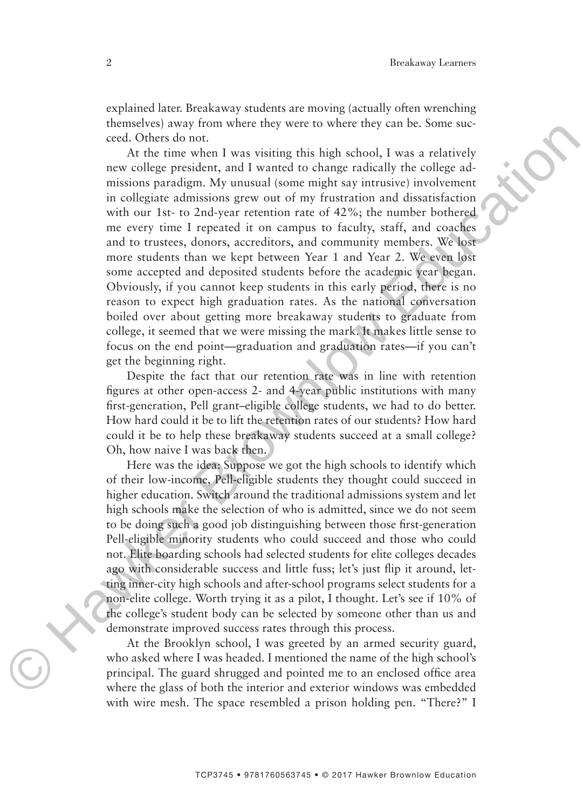explained later. Breakaway students are moving (actually often wrenching themselves) away from where they were to where they can be. Some succeed. Others do not.

At the time when I was visiting this high school, I was a relatively new college president, and I wanted to change radically the college admissions paradigm. My unusual (some might say intrusive) involvement in collegiate admissions grew out of my frustration and dissatisfaction with our 1st- to 2nd-year retention rate of 42%; the number bothered me every time I repeated it on campus to faculty, staff, and coaches and to trustees, donors, accreditors, and community members. We lost more students than we kept between Year 1 and Year 2. We even lost some accepted and deposited students before the academic year began. Obviously, if you cannot keep students in this early period, there is no reason to expect high graduation rates. As the national conversation boiled over about getting more breakaway students to graduate from college, it seemed that we were missing the mark. It makes little sense to focus on the end point—graduation and graduation rates—if you can't get the beginning right. realisation and the time when the solition of the solition of the solition of the solition of the solition of the solition of the solition of the solition of the solition of the solition of the solition of the solition of

Despite the fact that our retention rate was in line with retention figures at other open-access 2- and 4-year public institutions with many first-generation, Pell grant–eligible college students, we had to do better. How hard could it be to lift the retention rates of our students? How hard could it be to help these breakaway students succeed at a small college? Oh, how naive I was back then.

Here was the idea: Suppose we got the high schools to identify which of their low-income, Pell-eligible students they thought could succeed in higher education. Switch around the traditional admissions system and let high schools make the selection of who is admitted, since we do not seem to be doing such a good job distinguishing between those first-generation Pell-eligible minority students who could succeed and those who could not. Elite boarding schools had selected students for elite colleges decades ago with considerable success and little fuss; let's just flip it around, letting inner-city high schools and after-school programs select students for a non-elite college. Worth trying it as a pilot, I thought. Let's see if 10% of the college's student body can be selected by someone other than us and demonstrate improved success rates through this process.

At the Brooklyn school, I was greeted by an armed security guard, who asked where I was headed. I mentioned the name of the high school's principal. The guard shrugged and pointed me to an enclosed office area where the glass of both the interior and exterior windows was embedded with wire mesh. The space resembled a prison holding pen. "There?" I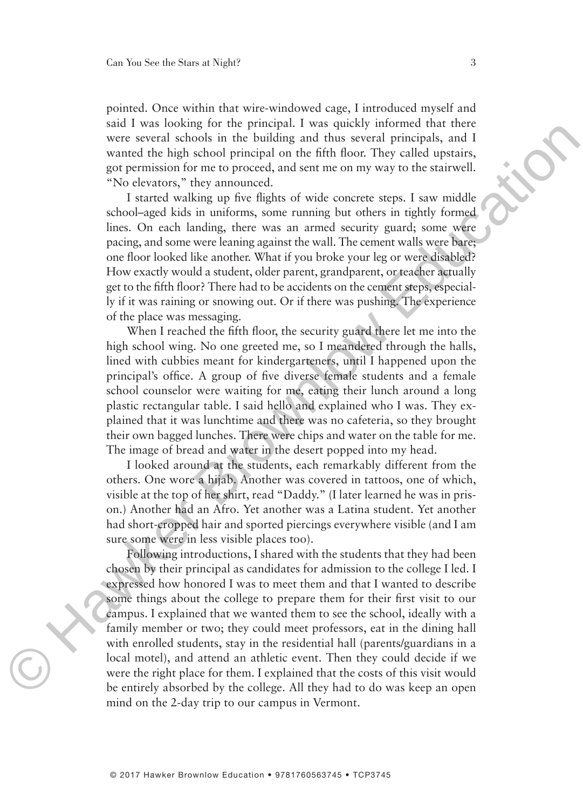pointed. Once within that wire-windowed cage, I introduced myself and said I was looking for the principal. I was quickly informed that there were several schools in the building and thus several principals, and I wanted the high school principal on the fifth floor. They called upstairs, got permission for me to proceed, and sent me on my way to the stairwell. "No elevators," they announced.

I started walking up five flights of wide concrete steps. I saw middle school–aged kids in uniforms, some running but others in tightly formed lines. On each landing, there was an armed security guard; some were pacing, and some were leaning against the wall. The cement walls were bare; one floor looked like another. What if you broke your leg or were disabled? How exactly would a student, older parent, grandparent, or teacher actually get to the fifth floor? There had to be accidents on the cement steps, especially if it was raining or snowing out. Or if there was pushing. The experience of the place was messaging. solve a wave proportional was questive and the proportion of the mate of the mate of the mate of the mate of the mate of the mate of the mate of the mate of the mate of the mate of the mate of the mate of the mate of the

When I reached the fifth floor, the security guard there let me into the high school wing. No one greeted me, so I meandered through the halls, lined with cubbies meant for kindergarteners, until I happened upon the principal's office. A group of five diverse female students and a female school counselor were waiting for me, eating their lunch around a long plastic rectangular table. I said hello and explained who I was. They explained that it was lunchtime and there was no cafeteria, so they brought their own bagged lunches. There were chips and water on the table for me. The image of bread and water in the desert popped into my head.

I looked around at the students, each remarkably different from the others. One wore a hijab. Another was covered in tattoos, one of which, visible at the top of her shirt, read "Daddy." (I later learned he was in prison.) Another had an Afro. Yet another was a Latina student. Yet another had short-cropped hair and sported piercings everywhere visible (and I am sure some were in less visible places too).

Following introductions, I shared with the students that they had been chosen by their principal as candidates for admission to the college I led. I expressed how honored I was to meet them and that I wanted to describe some things about the college to prepare them for their first visit to our campus. I explained that we wanted them to see the school, ideally with a family member or two; they could meet professors, eat in the dining hall with enrolled students, stay in the residential hall (parents/guardians in a local motel), and attend an athletic event. Then they could decide if we were the right place for them. I explained that the costs of this visit would be entirely absorbed by the college. All they had to do was keep an open mind on the 2-day trip to our campus in Vermont.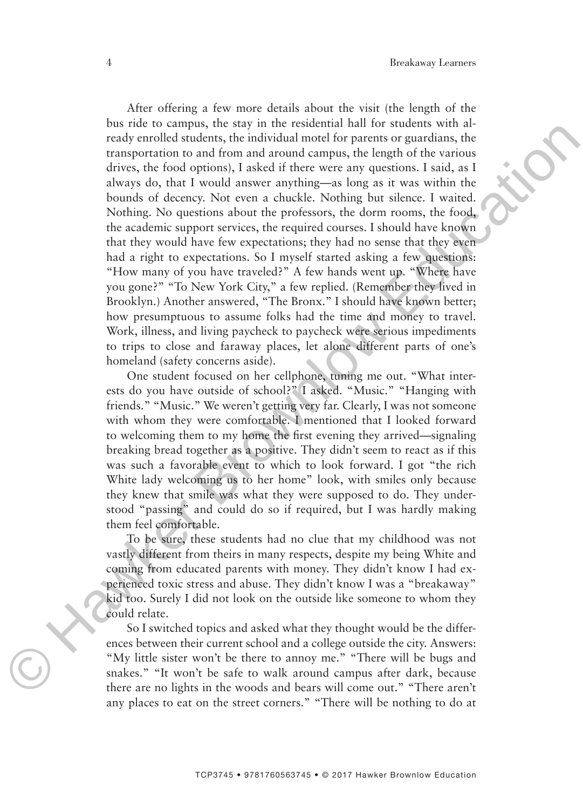After offering a few more details about the visit (the length of the bus ride to campus, the stay in the residential hall for students with already enrolled students, the individual motel for parents or guardians, the transportation to and from and around campus, the length of the various drives, the food options), I asked if there were any questions. I said, as I always do, that I would answer anything—as long as it was within the bounds of decency. Not even a chuckle. Nothing but silence. I waited. Nothing. No questions about the professors, the dorm rooms, the food, the academic support services, the required courses. I should have known that they would have few expectations; they had no sense that they even had a right to expectations. So I myself started asking a few questions: "How many of you have traveled?" A few hands went up. "Where have you gone?" "To New York City," a few replied. (Remember they lived in Brooklyn.) Another answered, "The Bronx." I should have known better; how presumptuous to assume folks had the time and money to travel. Work, illness, and living paycheck to paycheck were serious impediments to trips to close and faraway places, let alone different parts of one's homeland (safety concerns aside). on one to cannot any one to some and a model and any the system and one determinispedication of a function of finding the system and a model divergent divergent divergent divergent divergent divergent divergent divergent

One student focused on her cellphone, tuning me out. "What interests do you have outside of school?" I asked. "Music." "Hanging with friends." "Music." We weren't getting very far. Clearly, I was not someone with whom they were comfortable. I mentioned that I looked forward to welcoming them to my home the first evening they arrived—signaling breaking bread together as a positive. They didn't seem to react as if this was such a favorable event to which to look forward. I got "the rich White lady welcoming us to her home" look, with smiles only because they knew that smile was what they were supposed to do. They understood "passing" and could do so if required, but I was hardly making them feel comfortable.

To be sure, these students had no clue that my childhood was not vastly different from theirs in many respects, despite my being White and coming from educated parents with money. They didn't know I had experienced toxic stress and abuse. They didn't know I was a "breakaway" kid too. Surely I did not look on the outside like someone to whom they could relate.

So I switched topics and asked what they thought would be the differences between their current school and a college outside the city. Answers: "My little sister won't be there to annoy me." "There will be bugs and snakes." "It won't be safe to walk around campus after dark, because there are no lights in the woods and bears will come out." "There aren't any places to eat on the street corners." "There will be nothing to do at